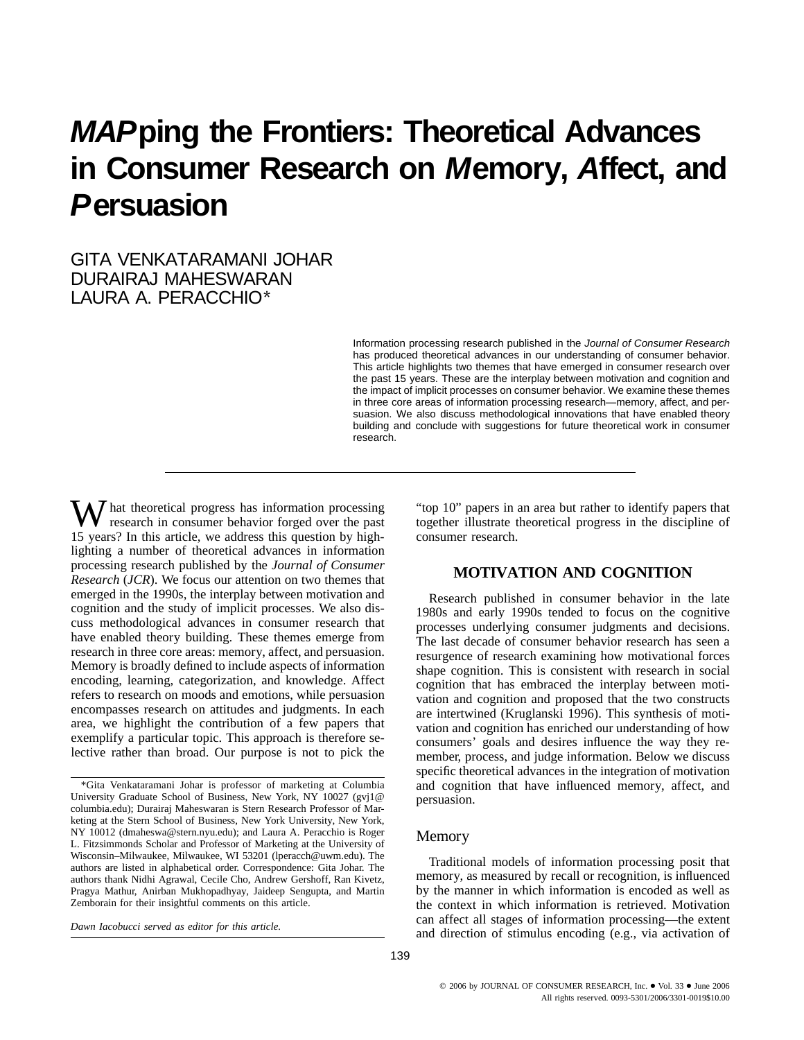# **MAPping the Frontiers: Theoretical Advances in Consumer Research on Memory, Affect, and Persuasion**

## GITA VENKATARAMANI JOHAR DURAIRAJ MAHESWARAN LAURA A. PERACCHIO\*

Information processing research published in the Journal of Consumer Research has produced theoretical advances in our understanding of consumer behavior. This article highlights two themes that have emerged in consumer research over the past 15 years. These are the interplay between motivation and cognition and the impact of implicit processes on consumer behavior. We examine these themes in three core areas of information processing research—memory, affect, and persuasion. We also discuss methodological innovations that have enabled theory building and conclude with suggestions for future theoretical work in consumer research.

 $\mathbf{W}$  hat theoretical progress has information processing research in consumer behavior forged over the past 15 years? In this article, we address this question by highlighting a number of theoretical advances in information processing research published by the *Journal of Consumer Research* (*JCR*). We focus our attention on two themes that emerged in the 1990s, the interplay between motivation and cognition and the study of implicit processes. We also discuss methodological advances in consumer research that have enabled theory building. These themes emerge from research in three core areas: memory, affect, and persuasion. Memory is broadly defined to include aspects of information encoding, learning, categorization, and knowledge. Affect refers to research on moods and emotions, while persuasion encompasses research on attitudes and judgments. In each area, we highlight the contribution of a few papers that exemplify a particular topic. This approach is therefore selective rather than broad. Our purpose is not to pick the

*Dawn Iacobucci served as editor for this article.*

"top 10" papers in an area but rather to identify papers that together illustrate theoretical progress in the discipline of consumer research.

## **MOTIVATION AND COGNITION**

Research published in consumer behavior in the late 1980s and early 1990s tended to focus on the cognitive processes underlying consumer judgments and decisions. The last decade of consumer behavior research has seen a resurgence of research examining how motivational forces shape cognition. This is consistent with research in social cognition that has embraced the interplay between motivation and cognition and proposed that the two constructs are intertwined (Kruglanski 1996). This synthesis of motivation and cognition has enriched our understanding of how consumers' goals and desires influence the way they remember, process, and judge information. Below we discuss specific theoretical advances in the integration of motivation and cognition that have influenced memory, affect, and persuasion.

## Memory

Traditional models of information processing posit that memory, as measured by recall or recognition, is influenced by the manner in which information is encoded as well as the context in which information is retrieved. Motivation can affect all stages of information processing—the extent and direction of stimulus encoding (e.g., via activation of

<sup>\*</sup>Gita Venkataramani Johar is professor of marketing at Columbia University Graduate School of Business, New York, NY 10027 (gvj1@ columbia.edu); Durairaj Maheswaran is Stern Research Professor of Marketing at the Stern School of Business, New York University, New York, NY 10012 (dmaheswa@stern.nyu.edu); and Laura A. Peracchio is Roger L. Fitzsimmonds Scholar and Professor of Marketing at the University of Wisconsin–Milwaukee, Milwaukee, WI 53201 (lperacch@uwm.edu). The authors are listed in alphabetical order. Correspondence: Gita Johar. The authors thank Nidhi Agrawal, Cecile Cho, Andrew Gershoff, Ran Kivetz, Pragya Mathur, Anirban Mukhopadhyay, Jaideep Sengupta, and Martin Zemborain for their insightful comments on this article.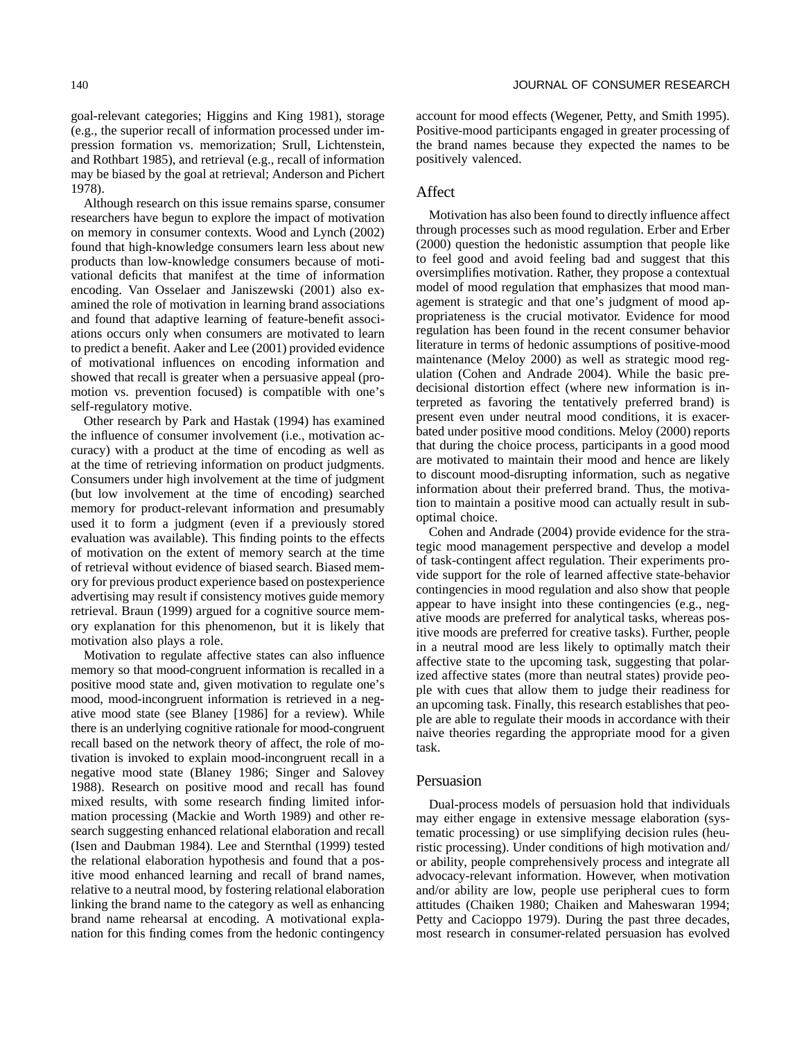goal-relevant categories; Higgins and King 1981), storage (e.g., the superior recall of information processed under impression formation vs. memorization; Srull, Lichtenstein, and Rothbart 1985), and retrieval (e.g., recall of information may be biased by the goal at retrieval; Anderson and Pichert 1978).

Although research on this issue remains sparse, consumer researchers have begun to explore the impact of motivation on memory in consumer contexts. Wood and Lynch (2002) found that high-knowledge consumers learn less about new products than low-knowledge consumers because of motivational deficits that manifest at the time of information encoding. Van Osselaer and Janiszewski (2001) also examined the role of motivation in learning brand associations and found that adaptive learning of feature-benefit associations occurs only when consumers are motivated to learn to predict a benefit. Aaker and Lee (2001) provided evidence of motivational influences on encoding information and showed that recall is greater when a persuasive appeal (promotion vs. prevention focused) is compatible with one's self-regulatory motive.

Other research by Park and Hastak (1994) has examined the influence of consumer involvement (i.e., motivation accuracy) with a product at the time of encoding as well as at the time of retrieving information on product judgments. Consumers under high involvement at the time of judgment (but low involvement at the time of encoding) searched memory for product-relevant information and presumably used it to form a judgment (even if a previously stored evaluation was available). This finding points to the effects of motivation on the extent of memory search at the time of retrieval without evidence of biased search. Biased memory for previous product experience based on postexperience advertising may result if consistency motives guide memory retrieval. Braun (1999) argued for a cognitive source memory explanation for this phenomenon, but it is likely that motivation also plays a role.

Motivation to regulate affective states can also influence memory so that mood-congruent information is recalled in a positive mood state and, given motivation to regulate one's mood, mood-incongruent information is retrieved in a negative mood state (see Blaney [1986] for a review). While there is an underlying cognitive rationale for mood-congruent recall based on the network theory of affect, the role of motivation is invoked to explain mood-incongruent recall in a negative mood state (Blaney 1986; Singer and Salovey 1988). Research on positive mood and recall has found mixed results, with some research finding limited information processing (Mackie and Worth 1989) and other research suggesting enhanced relational elaboration and recall (Isen and Daubman 1984). Lee and Sternthal (1999) tested the relational elaboration hypothesis and found that a positive mood enhanced learning and recall of brand names, relative to a neutral mood, by fostering relational elaboration linking the brand name to the category as well as enhancing brand name rehearsal at encoding. A motivational explanation for this finding comes from the hedonic contingency account for mood effects (Wegener, Petty, and Smith 1995). Positive-mood participants engaged in greater processing of the brand names because they expected the names to be positively valenced.

## Affect

Motivation has also been found to directly influence affect through processes such as mood regulation. Erber and Erber (2000) question the hedonistic assumption that people like to feel good and avoid feeling bad and suggest that this oversimplifies motivation. Rather, they propose a contextual model of mood regulation that emphasizes that mood management is strategic and that one's judgment of mood appropriateness is the crucial motivator. Evidence for mood regulation has been found in the recent consumer behavior literature in terms of hedonic assumptions of positive-mood maintenance (Meloy 2000) as well as strategic mood regulation (Cohen and Andrade 2004). While the basic predecisional distortion effect (where new information is interpreted as favoring the tentatively preferred brand) is present even under neutral mood conditions, it is exacerbated under positive mood conditions. Meloy (2000) reports that during the choice process, participants in a good mood are motivated to maintain their mood and hence are likely to discount mood-disrupting information, such as negative information about their preferred brand. Thus, the motivation to maintain a positive mood can actually result in suboptimal choice.

Cohen and Andrade (2004) provide evidence for the strategic mood management perspective and develop a model of task-contingent affect regulation. Their experiments provide support for the role of learned affective state-behavior contingencies in mood regulation and also show that people appear to have insight into these contingencies (e.g., negative moods are preferred for analytical tasks, whereas positive moods are preferred for creative tasks). Further, people in a neutral mood are less likely to optimally match their affective state to the upcoming task, suggesting that polarized affective states (more than neutral states) provide people with cues that allow them to judge their readiness for an upcoming task. Finally, this research establishes that people are able to regulate their moods in accordance with their naive theories regarding the appropriate mood for a given task.

#### Persuasion

Dual-process models of persuasion hold that individuals may either engage in extensive message elaboration (systematic processing) or use simplifying decision rules (heuristic processing). Under conditions of high motivation and/ or ability, people comprehensively process and integrate all advocacy-relevant information. However, when motivation and/or ability are low, people use peripheral cues to form attitudes (Chaiken 1980; Chaiken and Maheswaran 1994; Petty and Cacioppo 1979). During the past three decades, most research in consumer-related persuasion has evolved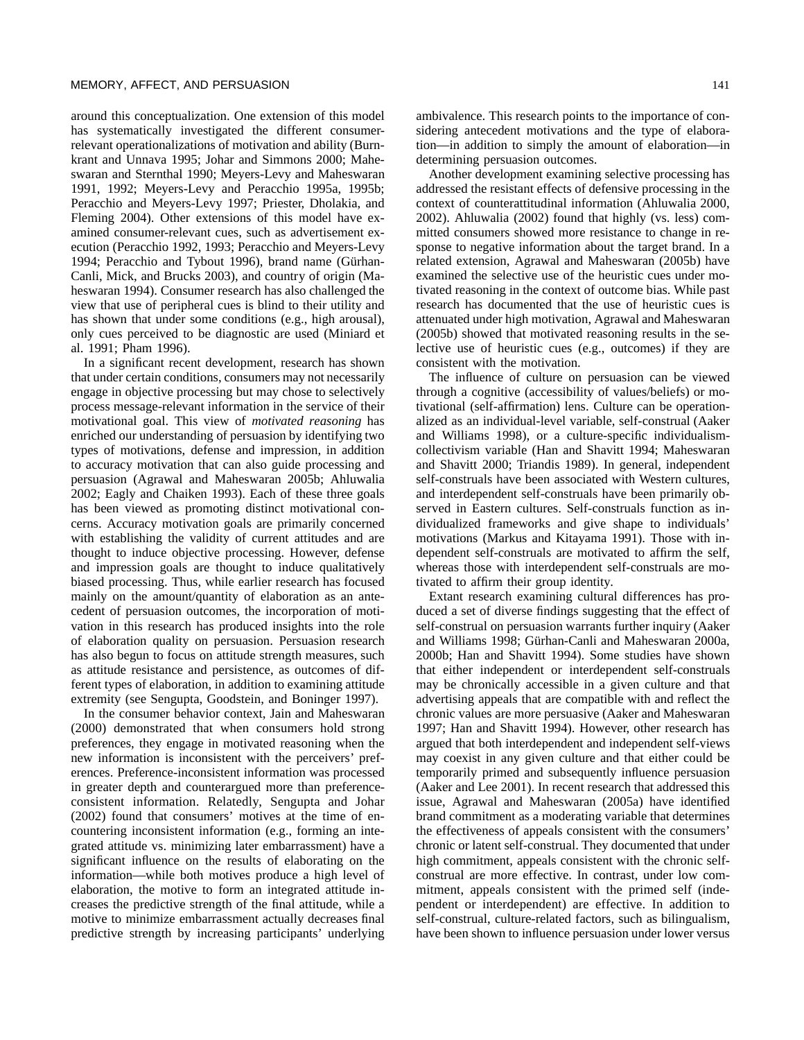around this conceptualization. One extension of this model has systematically investigated the different consumerrelevant operationalizations of motivation and ability (Burnkrant and Unnava 1995; Johar and Simmons 2000; Maheswaran and Sternthal 1990; Meyers-Levy and Maheswaran 1991, 1992; Meyers-Levy and Peracchio 1995a, 1995b; Peracchio and Meyers-Levy 1997; Priester, Dholakia, and Fleming 2004). Other extensions of this model have examined consumer-relevant cues, such as advertisement execution (Peracchio 1992, 1993; Peracchio and Meyers-Levy 1994; Peracchio and Tybout 1996), brand name (Gürhan-Canli, Mick, and Brucks 2003), and country of origin (Maheswaran 1994). Consumer research has also challenged the view that use of peripheral cues is blind to their utility and has shown that under some conditions (e.g., high arousal), only cues perceived to be diagnostic are used (Miniard et al. 1991; Pham 1996).

In a significant recent development, research has shown that under certain conditions, consumers may not necessarily engage in objective processing but may chose to selectively process message-relevant information in the service of their motivational goal. This view of *motivated reasoning* has enriched our understanding of persuasion by identifying two types of motivations, defense and impression, in addition to accuracy motivation that can also guide processing and persuasion (Agrawal and Maheswaran 2005b; Ahluwalia 2002; Eagly and Chaiken 1993). Each of these three goals has been viewed as promoting distinct motivational concerns. Accuracy motivation goals are primarily concerned with establishing the validity of current attitudes and are thought to induce objective processing. However, defense and impression goals are thought to induce qualitatively biased processing. Thus, while earlier research has focused mainly on the amount/quantity of elaboration as an antecedent of persuasion outcomes, the incorporation of motivation in this research has produced insights into the role of elaboration quality on persuasion. Persuasion research has also begun to focus on attitude strength measures, such as attitude resistance and persistence, as outcomes of different types of elaboration, in addition to examining attitude extremity (see Sengupta, Goodstein, and Boninger 1997).

In the consumer behavior context, Jain and Maheswaran (2000) demonstrated that when consumers hold strong preferences, they engage in motivated reasoning when the new information is inconsistent with the perceivers' preferences. Preference-inconsistent information was processed in greater depth and counterargued more than preferenceconsistent information. Relatedly, Sengupta and Johar (2002) found that consumers' motives at the time of encountering inconsistent information (e.g., forming an integrated attitude vs. minimizing later embarrassment) have a significant influence on the results of elaborating on the information—while both motives produce a high level of elaboration, the motive to form an integrated attitude increases the predictive strength of the final attitude, while a motive to minimize embarrassment actually decreases final predictive strength by increasing participants' underlying ambivalence. This research points to the importance of considering antecedent motivations and the type of elaboration—in addition to simply the amount of elaboration—in determining persuasion outcomes.

Another development examining selective processing has addressed the resistant effects of defensive processing in the context of counterattitudinal information (Ahluwalia 2000, 2002). Ahluwalia (2002) found that highly (vs. less) committed consumers showed more resistance to change in response to negative information about the target brand. In a related extension, Agrawal and Maheswaran (2005b) have examined the selective use of the heuristic cues under motivated reasoning in the context of outcome bias. While past research has documented that the use of heuristic cues is attenuated under high motivation, Agrawal and Maheswaran (2005b) showed that motivated reasoning results in the selective use of heuristic cues (e.g., outcomes) if they are consistent with the motivation.

The influence of culture on persuasion can be viewed through a cognitive (accessibility of values/beliefs) or motivational (self-affirmation) lens. Culture can be operationalized as an individual-level variable, self-construal (Aaker and Williams 1998), or a culture-specific individualismcollectivism variable (Han and Shavitt 1994; Maheswaran and Shavitt 2000; Triandis 1989). In general, independent self-construals have been associated with Western cultures, and interdependent self-construals have been primarily observed in Eastern cultures. Self-construals function as individualized frameworks and give shape to individuals' motivations (Markus and Kitayama 1991). Those with independent self-construals are motivated to affirm the self, whereas those with interdependent self-construals are motivated to affirm their group identity.

Extant research examining cultural differences has produced a set of diverse findings suggesting that the effect of self-construal on persuasion warrants further inquiry (Aaker and Williams 1998; Gürhan-Canli and Maheswaran 2000a, 2000b; Han and Shavitt 1994). Some studies have shown that either independent or interdependent self-construals may be chronically accessible in a given culture and that advertising appeals that are compatible with and reflect the chronic values are more persuasive (Aaker and Maheswaran 1997; Han and Shavitt 1994). However, other research has argued that both interdependent and independent self-views may coexist in any given culture and that either could be temporarily primed and subsequently influence persuasion (Aaker and Lee 2001). In recent research that addressed this issue, Agrawal and Maheswaran (2005a) have identified brand commitment as a moderating variable that determines the effectiveness of appeals consistent with the consumers' chronic or latent self-construal. They documented that under high commitment, appeals consistent with the chronic selfconstrual are more effective. In contrast, under low commitment, appeals consistent with the primed self (independent or interdependent) are effective. In addition to self-construal, culture-related factors, such as bilingualism, have been shown to influence persuasion under lower versus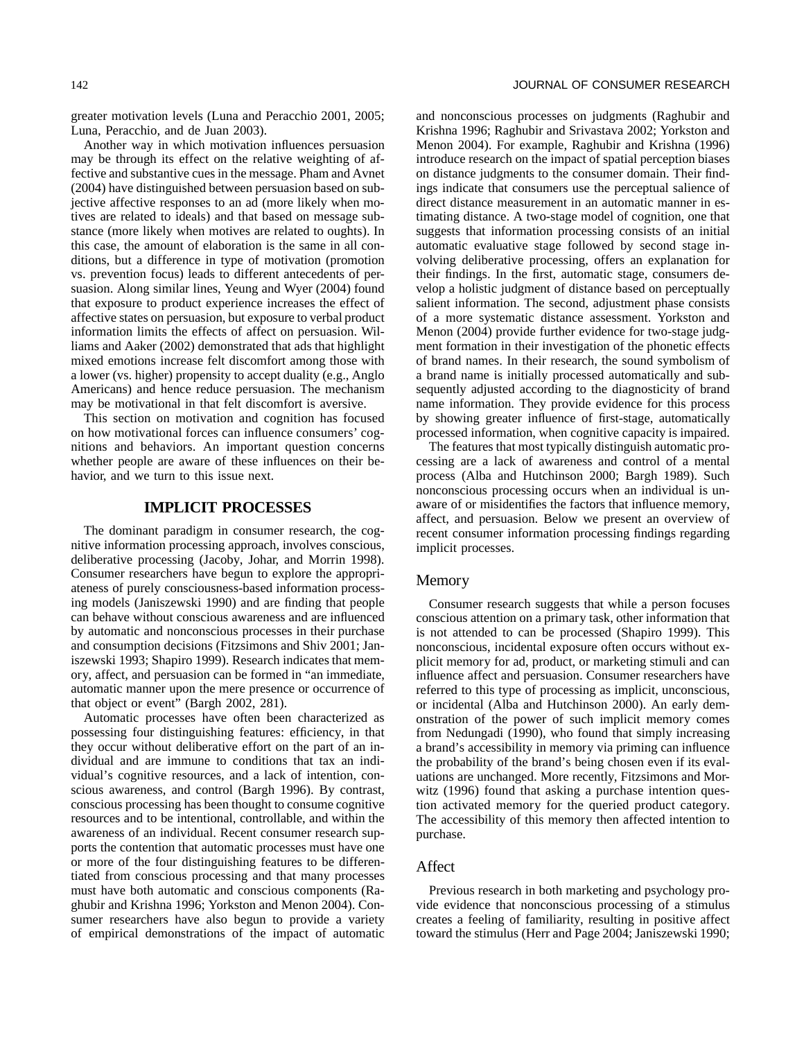greater motivation levels (Luna and Peracchio 2001, 2005; Luna, Peracchio, and de Juan 2003).

Another way in which motivation influences persuasion may be through its effect on the relative weighting of affective and substantive cues in the message. Pham and Avnet (2004) have distinguished between persuasion based on subjective affective responses to an ad (more likely when motives are related to ideals) and that based on message substance (more likely when motives are related to oughts). In this case, the amount of elaboration is the same in all conditions, but a difference in type of motivation (promotion vs. prevention focus) leads to different antecedents of persuasion. Along similar lines, Yeung and Wyer (2004) found that exposure to product experience increases the effect of affective states on persuasion, but exposure to verbal product information limits the effects of affect on persuasion. Williams and Aaker (2002) demonstrated that ads that highlight mixed emotions increase felt discomfort among those with a lower (vs. higher) propensity to accept duality (e.g., Anglo Americans) and hence reduce persuasion. The mechanism may be motivational in that felt discomfort is aversive.

This section on motivation and cognition has focused on how motivational forces can influence consumers' cognitions and behaviors. An important question concerns whether people are aware of these influences on their behavior, and we turn to this issue next.

## **IMPLICIT PROCESSES**

The dominant paradigm in consumer research, the cognitive information processing approach, involves conscious, deliberative processing (Jacoby, Johar, and Morrin 1998). Consumer researchers have begun to explore the appropriateness of purely consciousness-based information processing models (Janiszewski 1990) and are finding that people can behave without conscious awareness and are influenced by automatic and nonconscious processes in their purchase and consumption decisions (Fitzsimons and Shiv 2001; Janiszewski 1993; Shapiro 1999). Research indicates that memory, affect, and persuasion can be formed in "an immediate, automatic manner upon the mere presence or occurrence of that object or event" (Bargh 2002, 281).

Automatic processes have often been characterized as possessing four distinguishing features: efficiency, in that they occur without deliberative effort on the part of an individual and are immune to conditions that tax an individual's cognitive resources, and a lack of intention, conscious awareness, and control (Bargh 1996). By contrast, conscious processing has been thought to consume cognitive resources and to be intentional, controllable, and within the awareness of an individual. Recent consumer research supports the contention that automatic processes must have one or more of the four distinguishing features to be differentiated from conscious processing and that many processes must have both automatic and conscious components (Raghubir and Krishna 1996; Yorkston and Menon 2004). Consumer researchers have also begun to provide a variety of empirical demonstrations of the impact of automatic and nonconscious processes on judgments (Raghubir and Krishna 1996; Raghubir and Srivastava 2002; Yorkston and Menon 2004). For example, Raghubir and Krishna (1996) introduce research on the impact of spatial perception biases on distance judgments to the consumer domain. Their findings indicate that consumers use the perceptual salience of direct distance measurement in an automatic manner in estimating distance. A two-stage model of cognition, one that suggests that information processing consists of an initial automatic evaluative stage followed by second stage involving deliberative processing, offers an explanation for their findings. In the first, automatic stage, consumers develop a holistic judgment of distance based on perceptually salient information. The second, adjustment phase consists of a more systematic distance assessment. Yorkston and Menon (2004) provide further evidence for two-stage judgment formation in their investigation of the phonetic effects of brand names. In their research, the sound symbolism of a brand name is initially processed automatically and subsequently adjusted according to the diagnosticity of brand name information. They provide evidence for this process by showing greater influence of first-stage, automatically processed information, when cognitive capacity is impaired.

The features that most typically distinguish automatic processing are a lack of awareness and control of a mental process (Alba and Hutchinson 2000; Bargh 1989). Such nonconscious processing occurs when an individual is unaware of or misidentifies the factors that influence memory, affect, and persuasion. Below we present an overview of recent consumer information processing findings regarding implicit processes.

#### Memory

Consumer research suggests that while a person focuses conscious attention on a primary task, other information that is not attended to can be processed (Shapiro 1999). This nonconscious, incidental exposure often occurs without explicit memory for ad, product, or marketing stimuli and can influence affect and persuasion. Consumer researchers have referred to this type of processing as implicit, unconscious, or incidental (Alba and Hutchinson 2000). An early demonstration of the power of such implicit memory comes from Nedungadi (1990), who found that simply increasing a brand's accessibility in memory via priming can influence the probability of the brand's being chosen even if its evaluations are unchanged. More recently, Fitzsimons and Morwitz (1996) found that asking a purchase intention question activated memory for the queried product category. The accessibility of this memory then affected intention to purchase.

### Affect

Previous research in both marketing and psychology provide evidence that nonconscious processing of a stimulus creates a feeling of familiarity, resulting in positive affect toward the stimulus (Herr and Page 2004; Janiszewski 1990;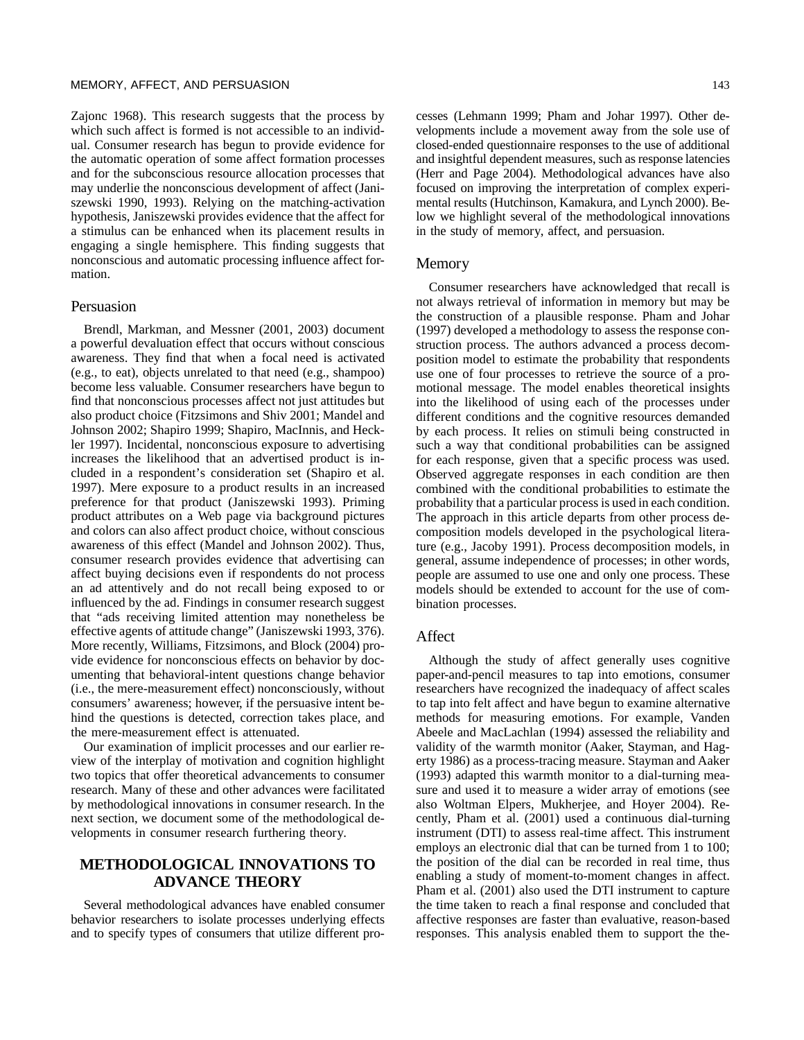Zajonc 1968). This research suggests that the process by which such affect is formed is not accessible to an individual. Consumer research has begun to provide evidence for the automatic operation of some affect formation processes and for the subconscious resource allocation processes that may underlie the nonconscious development of affect (Janiszewski 1990, 1993). Relying on the matching-activation hypothesis, Janiszewski provides evidence that the affect for a stimulus can be enhanced when its placement results in engaging a single hemisphere. This finding suggests that nonconscious and automatic processing influence affect formation.

## Persuasion

Brendl, Markman, and Messner (2001, 2003) document a powerful devaluation effect that occurs without conscious awareness. They find that when a focal need is activated (e.g., to eat), objects unrelated to that need (e.g., shampoo) become less valuable. Consumer researchers have begun to find that nonconscious processes affect not just attitudes but also product choice (Fitzsimons and Shiv 2001; Mandel and Johnson 2002; Shapiro 1999; Shapiro, MacInnis, and Heckler 1997). Incidental, nonconscious exposure to advertising increases the likelihood that an advertised product is included in a respondent's consideration set (Shapiro et al. 1997). Mere exposure to a product results in an increased preference for that product (Janiszewski 1993). Priming product attributes on a Web page via background pictures and colors can also affect product choice, without conscious awareness of this effect (Mandel and Johnson 2002). Thus, consumer research provides evidence that advertising can affect buying decisions even if respondents do not process an ad attentively and do not recall being exposed to or influenced by the ad. Findings in consumer research suggest that "ads receiving limited attention may nonetheless be effective agents of attitude change" (Janiszewski 1993, 376). More recently, Williams, Fitzsimons, and Block (2004) provide evidence for nonconscious effects on behavior by documenting that behavioral-intent questions change behavior (i.e., the mere-measurement effect) nonconsciously, without consumers' awareness; however, if the persuasive intent behind the questions is detected, correction takes place, and the mere-measurement effect is attenuated.

Our examination of implicit processes and our earlier review of the interplay of motivation and cognition highlight two topics that offer theoretical advancements to consumer research. Many of these and other advances were facilitated by methodological innovations in consumer research. In the next section, we document some of the methodological developments in consumer research furthering theory.

## **METHODOLOGICAL INNOVATIONS TO ADVANCE THEORY**

Several methodological advances have enabled consumer behavior researchers to isolate processes underlying effects and to specify types of consumers that utilize different processes (Lehmann 1999; Pham and Johar 1997). Other developments include a movement away from the sole use of closed-ended questionnaire responses to the use of additional and insightful dependent measures, such as response latencies (Herr and Page 2004). Methodological advances have also focused on improving the interpretation of complex experimental results (Hutchinson, Kamakura, and Lynch 2000). Below we highlight several of the methodological innovations in the study of memory, affect, and persuasion.

#### Memory

Consumer researchers have acknowledged that recall is not always retrieval of information in memory but may be the construction of a plausible response. Pham and Johar (1997) developed a methodology to assess the response construction process. The authors advanced a process decomposition model to estimate the probability that respondents use one of four processes to retrieve the source of a promotional message. The model enables theoretical insights into the likelihood of using each of the processes under different conditions and the cognitive resources demanded by each process. It relies on stimuli being constructed in such a way that conditional probabilities can be assigned for each response, given that a specific process was used. Observed aggregate responses in each condition are then combined with the conditional probabilities to estimate the probability that a particular process is used in each condition. The approach in this article departs from other process decomposition models developed in the psychological literature (e.g., Jacoby 1991). Process decomposition models, in general, assume independence of processes; in other words, people are assumed to use one and only one process. These models should be extended to account for the use of combination processes.

### Affect

Although the study of affect generally uses cognitive paper-and-pencil measures to tap into emotions, consumer researchers have recognized the inadequacy of affect scales to tap into felt affect and have begun to examine alternative methods for measuring emotions. For example, Vanden Abeele and MacLachlan (1994) assessed the reliability and validity of the warmth monitor (Aaker, Stayman, and Hagerty 1986) as a process-tracing measure. Stayman and Aaker (1993) adapted this warmth monitor to a dial-turning measure and used it to measure a wider array of emotions (see also Woltman Elpers, Mukherjee, and Hoyer 2004). Recently, Pham et al. (2001) used a continuous dial-turning instrument (DTI) to assess real-time affect. This instrument employs an electronic dial that can be turned from 1 to 100; the position of the dial can be recorded in real time, thus enabling a study of moment-to-moment changes in affect. Pham et al. (2001) also used the DTI instrument to capture the time taken to reach a final response and concluded that affective responses are faster than evaluative, reason-based responses. This analysis enabled them to support the the-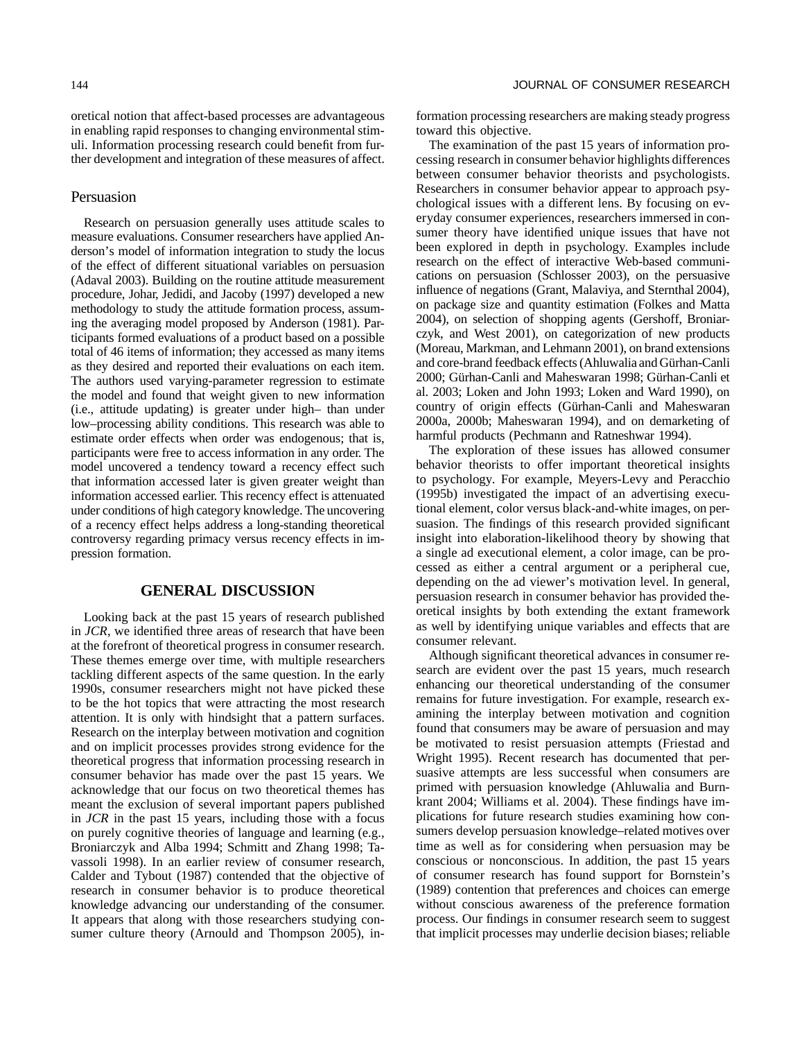## Persuasion

Research on persuasion generally uses attitude scales to measure evaluations. Consumer researchers have applied Anderson's model of information integration to study the locus of the effect of different situational variables on persuasion (Adaval 2003). Building on the routine attitude measurement procedure, Johar, Jedidi, and Jacoby (1997) developed a new methodology to study the attitude formation process, assuming the averaging model proposed by Anderson (1981). Participants formed evaluations of a product based on a possible total of 46 items of information; they accessed as many items as they desired and reported their evaluations on each item. The authors used varying-parameter regression to estimate the model and found that weight given to new information (i.e., attitude updating) is greater under high– than under low–processing ability conditions. This research was able to estimate order effects when order was endogenous; that is, participants were free to access information in any order. The model uncovered a tendency toward a recency effect such that information accessed later is given greater weight than information accessed earlier. This recency effect is attenuated under conditions of high category knowledge. The uncovering of a recency effect helps address a long-standing theoretical controversy regarding primacy versus recency effects in impression formation.

ther development and integration of these measures of affect.

## **GENERAL DISCUSSION**

Looking back at the past 15 years of research published in *JCR*, we identified three areas of research that have been at the forefront of theoretical progress in consumer research. These themes emerge over time, with multiple researchers tackling different aspects of the same question. In the early 1990s, consumer researchers might not have picked these to be the hot topics that were attracting the most research attention. It is only with hindsight that a pattern surfaces. Research on the interplay between motivation and cognition and on implicit processes provides strong evidence for the theoretical progress that information processing research in consumer behavior has made over the past 15 years. We acknowledge that our focus on two theoretical themes has meant the exclusion of several important papers published in *JCR* in the past 15 years, including those with a focus on purely cognitive theories of language and learning (e.g., Broniarczyk and Alba 1994; Schmitt and Zhang 1998; Tavassoli 1998). In an earlier review of consumer research, Calder and Tybout (1987) contended that the objective of research in consumer behavior is to produce theoretical knowledge advancing our understanding of the consumer. It appears that along with those researchers studying consumer culture theory (Arnould and Thompson 2005), in-

formation processing researchers are making steady progress toward this objective.

The examination of the past 15 years of information processing research in consumer behavior highlights differences between consumer behavior theorists and psychologists. Researchers in consumer behavior appear to approach psychological issues with a different lens. By focusing on everyday consumer experiences, researchers immersed in consumer theory have identified unique issues that have not been explored in depth in psychology. Examples include research on the effect of interactive Web-based communications on persuasion (Schlosser 2003), on the persuasive influence of negations (Grant, Malaviya, and Sternthal 2004), on package size and quantity estimation (Folkes and Matta 2004), on selection of shopping agents (Gershoff, Broniarczyk, and West 2001), on categorization of new products (Moreau, Markman, and Lehmann 2001), on brand extensions and core-brand feedback effects (Ahluwalia and Gürhan-Canli 2000; Gürhan-Canli and Maheswaran 1998; Gürhan-Canli et al. 2003; Loken and John 1993; Loken and Ward 1990), on country of origin effects (Gürhan-Canli and Maheswaran 2000a, 2000b; Maheswaran 1994), and on demarketing of harmful products (Pechmann and Ratneshwar 1994).

The exploration of these issues has allowed consumer behavior theorists to offer important theoretical insights to psychology. For example, Meyers-Levy and Peracchio (1995b) investigated the impact of an advertising executional element, color versus black-and-white images, on persuasion. The findings of this research provided significant insight into elaboration-likelihood theory by showing that a single ad executional element, a color image, can be processed as either a central argument or a peripheral cue, depending on the ad viewer's motivation level. In general, persuasion research in consumer behavior has provided theoretical insights by both extending the extant framework as well by identifying unique variables and effects that are consumer relevant.

Although significant theoretical advances in consumer research are evident over the past 15 years, much research enhancing our theoretical understanding of the consumer remains for future investigation. For example, research examining the interplay between motivation and cognition found that consumers may be aware of persuasion and may be motivated to resist persuasion attempts (Friestad and Wright 1995). Recent research has documented that persuasive attempts are less successful when consumers are primed with persuasion knowledge (Ahluwalia and Burnkrant 2004; Williams et al. 2004). These findings have implications for future research studies examining how consumers develop persuasion knowledge–related motives over time as well as for considering when persuasion may be conscious or nonconscious. In addition, the past 15 years of consumer research has found support for Bornstein's (1989) contention that preferences and choices can emerge without conscious awareness of the preference formation process. Our findings in consumer research seem to suggest that implicit processes may underlie decision biases; reliable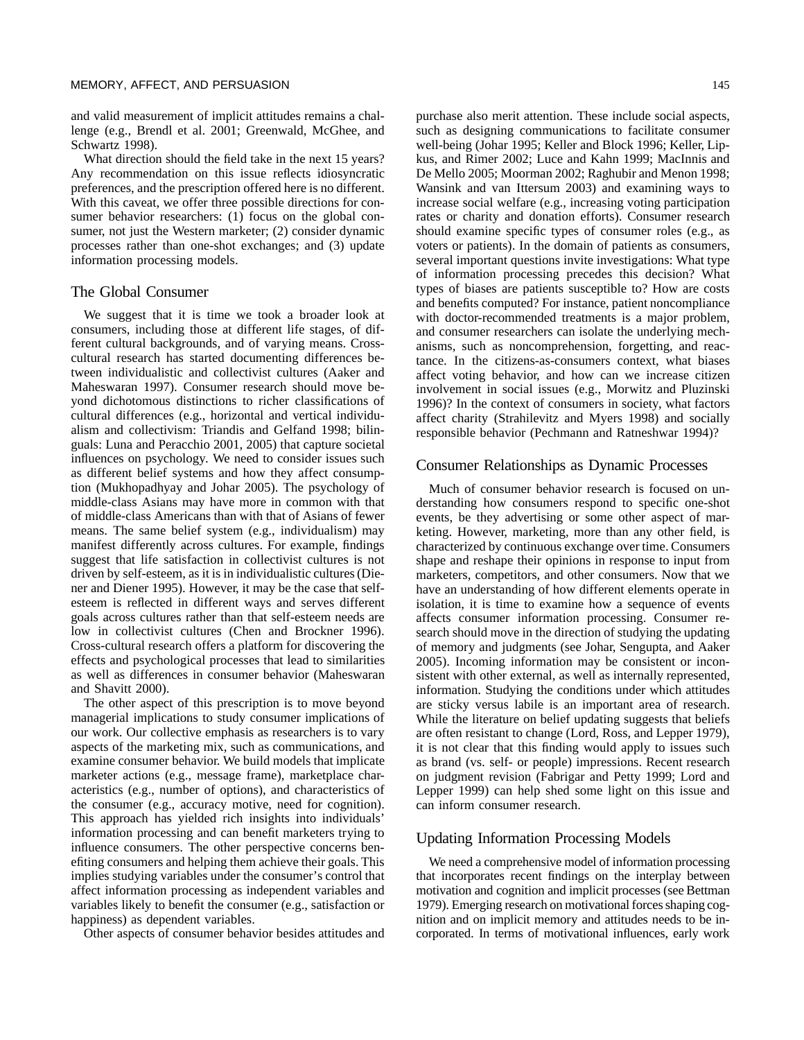and valid measurement of implicit attitudes remains a challenge (e.g., Brendl et al. 2001; Greenwald, McGhee, and Schwartz 1998).

What direction should the field take in the next 15 years? Any recommendation on this issue reflects idiosyncratic preferences, and the prescription offered here is no different. With this caveat, we offer three possible directions for consumer behavior researchers: (1) focus on the global consumer, not just the Western marketer; (2) consider dynamic processes rather than one-shot exchanges; and (3) update information processing models.

## The Global Consumer

We suggest that it is time we took a broader look at consumers, including those at different life stages, of different cultural backgrounds, and of varying means. Crosscultural research has started documenting differences between individualistic and collectivist cultures (Aaker and Maheswaran 1997). Consumer research should move beyond dichotomous distinctions to richer classifications of cultural differences (e.g., horizontal and vertical individualism and collectivism: Triandis and Gelfand 1998; bilinguals: Luna and Peracchio 2001, 2005) that capture societal influences on psychology. We need to consider issues such as different belief systems and how they affect consumption (Mukhopadhyay and Johar 2005). The psychology of middle-class Asians may have more in common with that of middle-class Americans than with that of Asians of fewer means. The same belief system (e.g., individualism) may manifest differently across cultures. For example, findings suggest that life satisfaction in collectivist cultures is not driven by self-esteem, as it is in individualistic cultures (Diener and Diener 1995). However, it may be the case that selfesteem is reflected in different ways and serves different goals across cultures rather than that self-esteem needs are low in collectivist cultures (Chen and Brockner 1996). Cross-cultural research offers a platform for discovering the effects and psychological processes that lead to similarities as well as differences in consumer behavior (Maheswaran and Shavitt 2000).

The other aspect of this prescription is to move beyond managerial implications to study consumer implications of our work. Our collective emphasis as researchers is to vary aspects of the marketing mix, such as communications, and examine consumer behavior. We build models that implicate marketer actions (e.g., message frame), marketplace characteristics (e.g., number of options), and characteristics of the consumer (e.g., accuracy motive, need for cognition). This approach has yielded rich insights into individuals' information processing and can benefit marketers trying to influence consumers. The other perspective concerns benefiting consumers and helping them achieve their goals. This implies studying variables under the consumer's control that affect information processing as independent variables and variables likely to benefit the consumer (e.g., satisfaction or happiness) as dependent variables.

Other aspects of consumer behavior besides attitudes and

purchase also merit attention. These include social aspects, such as designing communications to facilitate consumer well-being (Johar 1995; Keller and Block 1996; Keller, Lipkus, and Rimer 2002; Luce and Kahn 1999; MacInnis and De Mello 2005; Moorman 2002; Raghubir and Menon 1998; Wansink and van Ittersum 2003) and examining ways to increase social welfare (e.g., increasing voting participation rates or charity and donation efforts). Consumer research should examine specific types of consumer roles (e.g., as voters or patients). In the domain of patients as consumers, several important questions invite investigations: What type of information processing precedes this decision? What types of biases are patients susceptible to? How are costs and benefits computed? For instance, patient noncompliance with doctor-recommended treatments is a major problem, and consumer researchers can isolate the underlying mechanisms, such as noncomprehension, forgetting, and reactance. In the citizens-as-consumers context, what biases affect voting behavior, and how can we increase citizen involvement in social issues (e.g., Morwitz and Pluzinski 1996)? In the context of consumers in society, what factors affect charity (Strahilevitz and Myers 1998) and socially responsible behavior (Pechmann and Ratneshwar 1994)?

## Consumer Relationships as Dynamic Processes

Much of consumer behavior research is focused on understanding how consumers respond to specific one-shot events, be they advertising or some other aspect of marketing. However, marketing, more than any other field, is characterized by continuous exchange over time. Consumers shape and reshape their opinions in response to input from marketers, competitors, and other consumers. Now that we have an understanding of how different elements operate in isolation, it is time to examine how a sequence of events affects consumer information processing. Consumer research should move in the direction of studying the updating of memory and judgments (see Johar, Sengupta, and Aaker 2005). Incoming information may be consistent or inconsistent with other external, as well as internally represented, information. Studying the conditions under which attitudes are sticky versus labile is an important area of research. While the literature on belief updating suggests that beliefs are often resistant to change (Lord, Ross, and Lepper 1979), it is not clear that this finding would apply to issues such as brand (vs. self- or people) impressions. Recent research on judgment revision (Fabrigar and Petty 1999; Lord and Lepper 1999) can help shed some light on this issue and can inform consumer research.

## Updating Information Processing Models

We need a comprehensive model of information processing that incorporates recent findings on the interplay between motivation and cognition and implicit processes (see Bettman 1979). Emerging research on motivational forces shaping cognition and on implicit memory and attitudes needs to be incorporated. In terms of motivational influences, early work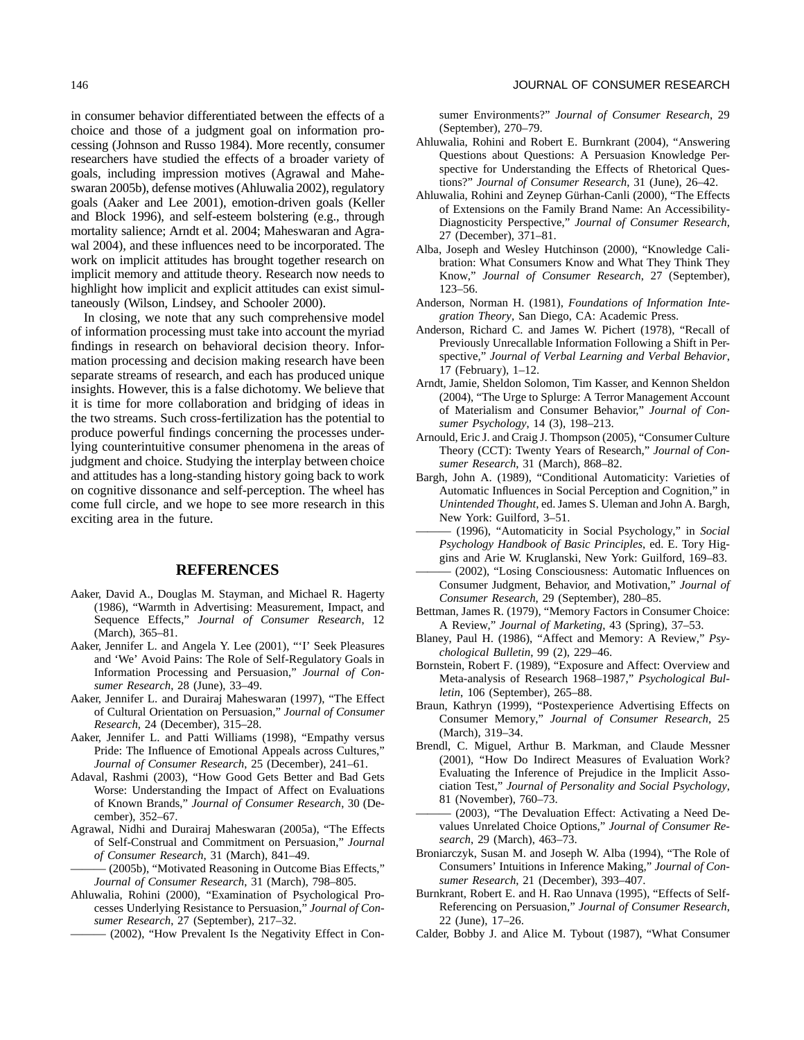in consumer behavior differentiated between the effects of a choice and those of a judgment goal on information processing (Johnson and Russo 1984). More recently, consumer researchers have studied the effects of a broader variety of goals, including impression motives (Agrawal and Maheswaran 2005b), defense motives (Ahluwalia 2002), regulatory goals (Aaker and Lee 2001), emotion-driven goals (Keller and Block 1996), and self-esteem bolstering (e.g., through mortality salience; Arndt et al. 2004; Maheswaran and Agrawal 2004), and these influences need to be incorporated. The work on implicit attitudes has brought together research on implicit memory and attitude theory. Research now needs to highlight how implicit and explicit attitudes can exist simultaneously (Wilson, Lindsey, and Schooler 2000).

In closing, we note that any such comprehensive model of information processing must take into account the myriad findings in research on behavioral decision theory. Information processing and decision making research have been separate streams of research, and each has produced unique insights. However, this is a false dichotomy. We believe that it is time for more collaboration and bridging of ideas in the two streams. Such cross-fertilization has the potential to produce powerful findings concerning the processes underlying counterintuitive consumer phenomena in the areas of judgment and choice. Studying the interplay between choice and attitudes has a long-standing history going back to work on cognitive dissonance and self-perception. The wheel has come full circle, and we hope to see more research in this exciting area in the future.

## **REFERENCES**

- Aaker, David A., Douglas M. Stayman, and Michael R. Hagerty (1986), "Warmth in Advertising: Measurement, Impact, and Sequence Effects," *Journal of Consumer Research*, 12 (March), 365–81.
- Aaker, Jennifer L. and Angela Y. Lee (2001), "'I' Seek Pleasures and 'We' Avoid Pains: The Role of Self-Regulatory Goals in Information Processing and Persuasion," *Journal of Consumer Research*, 28 (June), 33–49.
- Aaker, Jennifer L. and Durairaj Maheswaran (1997), "The Effect of Cultural Orientation on Persuasion," *Journal of Consumer Research*, 24 (December), 315–28.
- Aaker, Jennifer L. and Patti Williams (1998), "Empathy versus Pride: The Influence of Emotional Appeals across Cultures," *Journal of Consumer Research*, 25 (December), 241–61.
- Adaval, Rashmi (2003), "How Good Gets Better and Bad Gets Worse: Understanding the Impact of Affect on Evaluations of Known Brands," *Journal of Consumer Research*, 30 (December), 352–67.
- Agrawal, Nidhi and Durairaj Maheswaran (2005a), "The Effects of Self-Construal and Commitment on Persuasion," *Journal of Consumer Research*, 31 (March), 841–49.
	- (2005b), "Motivated Reasoning in Outcome Bias Effects," *Journal of Consumer Research*, 31 (March), 798–805.
- Ahluwalia, Rohini (2000), "Examination of Psychological Processes Underlying Resistance to Persuasion," *Journal of Consumer Research*, 27 (September), 217–32.
- ——— (2002), "How Prevalent Is the Negativity Effect in Con-

sumer Environments?" *Journal of Consumer Research*, 29 (September), 270–79.

- Ahluwalia, Rohini and Robert E. Burnkrant (2004), "Answering Questions about Questions: A Persuasion Knowledge Perspective for Understanding the Effects of Rhetorical Questions?" *Journal of Consumer Research*, 31 (June), 26–42.
- Ahluwalia, Rohini and Zeynep Gürhan-Canli (2000), "The Effects of Extensions on the Family Brand Name: An Accessibility-Diagnosticity Perspective," *Journal of Consumer Research*, 27 (December), 371–81.
- Alba, Joseph and Wesley Hutchinson (2000), "Knowledge Calibration: What Consumers Know and What They Think They Know," *Journal of Consumer Research*, 27 (September), 123–56.
- Anderson, Norman H. (1981), *Foundations of Information Integration Theory*, San Diego, CA: Academic Press.
- Anderson, Richard C. and James W. Pichert (1978), "Recall of Previously Unrecallable Information Following a Shift in Perspective," *Journal of Verbal Learning and Verbal Behavior*, 17 (February), 1–12.
- Arndt, Jamie, Sheldon Solomon, Tim Kasser, and Kennon Sheldon (2004), "The Urge to Splurge: A Terror Management Account of Materialism and Consumer Behavior," *Journal of Consumer Psychology*, 14 (3), 198–213.
- Arnould, Eric J. and Craig J. Thompson (2005), "Consumer Culture Theory (CCT): Twenty Years of Research," *Journal of Consumer Research*, 31 (March), 868–82.
- Bargh, John A. (1989), "Conditional Automaticity: Varieties of Automatic Influences in Social Perception and Cognition," in *Unintended Thought*, ed. James S. Uleman and John A. Bargh, New York: Guilford, 3–51.
- ——— (1996), "Automaticity in Social Psychology," in *Social Psychology Handbook of Basic Principles*, ed. E. Tory Higgins and Arie W. Kruglanski, New York: Guilford, 169–83.
- (2002), "Losing Consciousness: Automatic Influences on Consumer Judgment, Behavior, and Motivation," *Journal of Consumer Research*, 29 (September), 280–85.
- Bettman, James R. (1979), "Memory Factors in Consumer Choice: A Review," *Journal of Marketing*, 43 (Spring), 37–53.
- Blaney, Paul H. (1986), "Affect and Memory: A Review," *Psychological Bulletin*, 99 (2), 229–46.
- Bornstein, Robert F. (1989), "Exposure and Affect: Overview and Meta-analysis of Research 1968–1987," *Psychological Bulletin*, 106 (September), 265–88.
- Braun, Kathryn (1999), "Postexperience Advertising Effects on Consumer Memory," *Journal of Consumer Research*, 25 (March), 319–34.
- Brendl, C. Miguel, Arthur B. Markman, and Claude Messner (2001), "How Do Indirect Measures of Evaluation Work? Evaluating the Inference of Prejudice in the Implicit Association Test," *Journal of Personality and Social Psychology*, 81 (November), 760–73.
- (2003), "The Devaluation Effect: Activating a Need Devalues Unrelated Choice Options," *Journal of Consumer Research*, 29 (March), 463–73.
- Broniarczyk, Susan M. and Joseph W. Alba (1994), "The Role of Consumers' Intuitions in Inference Making," *Journal of Consumer Research*, 21 (December), 393–407.
- Burnkrant, Robert E. and H. Rao Unnava (1995), "Effects of Self-Referencing on Persuasion," *Journal of Consumer Research*, 22 (June), 17–26.
- Calder, Bobby J. and Alice M. Tybout (1987), "What Consumer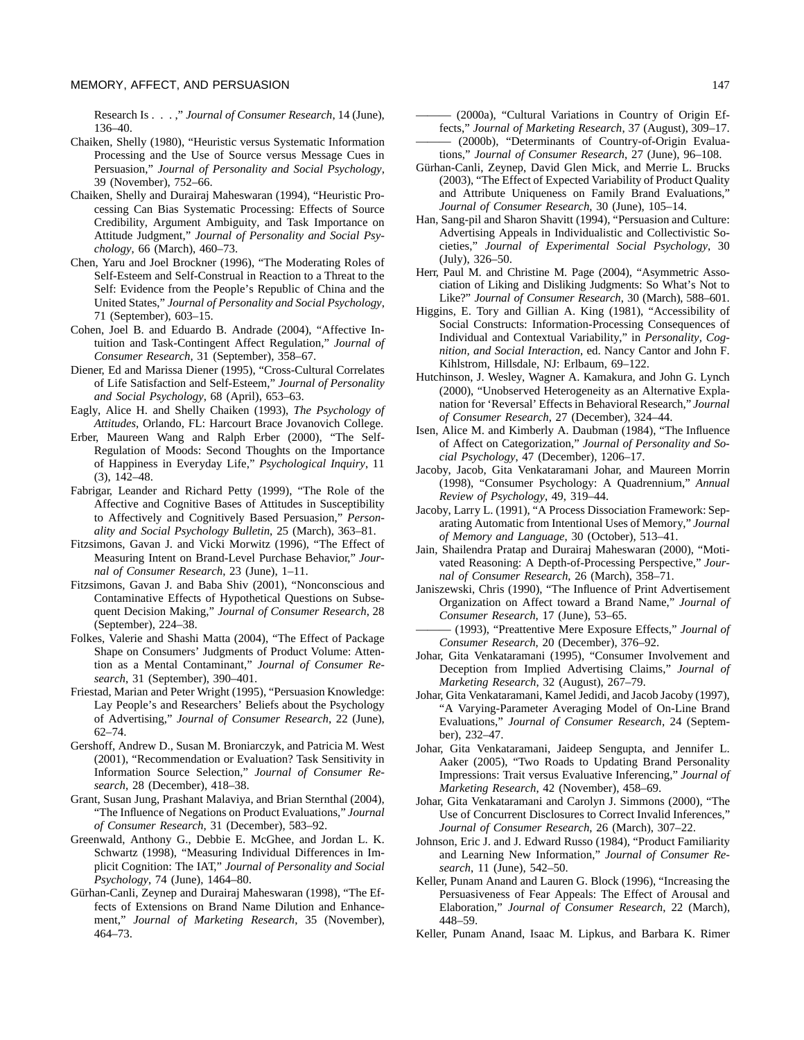Research Is . . . ," *Journal of Consumer Research*, 14 (June), 136–40.

- Chaiken, Shelly (1980), "Heuristic versus Systematic Information Processing and the Use of Source versus Message Cues in Persuasion," *Journal of Personality and Social Psychology*, 39 (November), 752–66.
- Chaiken, Shelly and Durairaj Maheswaran (1994), "Heuristic Processing Can Bias Systematic Processing: Effects of Source Credibility, Argument Ambiguity, and Task Importance on Attitude Judgment," *Journal of Personality and Social Psychology*, 66 (March), 460–73.
- Chen, Yaru and Joel Brockner (1996), "The Moderating Roles of Self-Esteem and Self-Construal in Reaction to a Threat to the Self: Evidence from the People's Republic of China and the United States," *Journal of Personality and Social Psychology*, 71 (September), 603–15.
- Cohen, Joel B. and Eduardo B. Andrade (2004), "Affective Intuition and Task-Contingent Affect Regulation," *Journal of Consumer Research*, 31 (September), 358–67.
- Diener, Ed and Marissa Diener (1995), "Cross-Cultural Correlates of Life Satisfaction and Self-Esteem," *Journal of Personality and Social Psychology*, 68 (April), 653–63.
- Eagly, Alice H. and Shelly Chaiken (1993), *The Psychology of Attitudes*, Orlando, FL: Harcourt Brace Jovanovich College.
- Erber, Maureen Wang and Ralph Erber (2000), "The Self-Regulation of Moods: Second Thoughts on the Importance of Happiness in Everyday Life," *Psychological Inquiry*, 11 (3), 142–48.
- Fabrigar, Leander and Richard Petty (1999), "The Role of the Affective and Cognitive Bases of Attitudes in Susceptibility to Affectively and Cognitively Based Persuasion," *Personality and Social Psychology Bulletin*, 25 (March), 363–81.
- Fitzsimons, Gavan J. and Vicki Morwitz (1996), "The Effect of Measuring Intent on Brand-Level Purchase Behavior," *Journal of Consumer Research*, 23 (June), 1–11.
- Fitzsimons, Gavan J. and Baba Shiv (2001), "Nonconscious and Contaminative Effects of Hypothetical Questions on Subsequent Decision Making," *Journal of Consumer Research*, 28 (September), 224–38.
- Folkes, Valerie and Shashi Matta (2004), "The Effect of Package Shape on Consumers' Judgments of Product Volume: Attention as a Mental Contaminant," *Journal of Consumer Research*, 31 (September), 390–401.
- Friestad, Marian and Peter Wright (1995), "Persuasion Knowledge: Lay People's and Researchers' Beliefs about the Psychology of Advertising," *Journal of Consumer Research*, 22 (June), 62–74.
- Gershoff, Andrew D., Susan M. Broniarczyk, and Patricia M. West (2001), "Recommendation or Evaluation? Task Sensitivity in Information Source Selection," *Journal of Consumer Research*, 28 (December), 418–38.
- Grant, Susan Jung, Prashant Malaviya, and Brian Sternthal (2004), "The Influence of Negations on Product Evaluations," *Journal of Consumer Research*, 31 (December), 583–92.
- Greenwald, Anthony G., Debbie E. McGhee, and Jordan L. K. Schwartz (1998), "Measuring Individual Differences in Implicit Cognition: The IAT," *Journal of Personality and Social Psychology*, 74 (June), 1464–80.
- Gürhan-Canli, Zeynep and Durairaj Maheswaran (1998), "The Effects of Extensions on Brand Name Dilution and Enhancement," *Journal of Marketing Research*, 35 (November), 464–73.
- (2000a), "Cultural Variations in Country of Origin Effects," *Journal of Marketing Research*, 37 (August), 309–17. (2000b), "Determinants of Country-of-Origin Evaluations," *Journal of Consumer Research*, 27 (June), 96–108.
- Gürhan-Canli, Zeynep, David Glen Mick, and Merrie L. Brucks (2003), "The Effect of Expected Variability of Product Quality and Attribute Uniqueness on Family Brand Evaluations,' *Journal of Consumer Research*, 30 (June), 105–14.
- Han, Sang-pil and Sharon Shavitt (1994), "Persuasion and Culture: Advertising Appeals in Individualistic and Collectivistic Societies," *Journal of Experimental Social Psychology*, 30 (July), 326–50.
- Herr, Paul M. and Christine M. Page (2004), "Asymmetric Association of Liking and Disliking Judgments: So What's Not to Like?" *Journal of Consumer Research*, 30 (March), 588–601.
- Higgins, E. Tory and Gillian A. King (1981), "Accessibility of Social Constructs: Information-Processing Consequences of Individual and Contextual Variability," in *Personality, Cognition, and Social Interaction*, ed. Nancy Cantor and John F. Kihlstrom, Hillsdale, NJ: Erlbaum, 69–122.
- Hutchinson, J. Wesley, Wagner A. Kamakura, and John G. Lynch (2000), "Unobserved Heterogeneity as an Alternative Explanation for 'Reversal' Effects in Behavioral Research," *Journal of Consumer Research*, 27 (December), 324–44.
- Isen, Alice M. and Kimberly A. Daubman (1984), "The Influence of Affect on Categorization," *Journal of Personality and Social Psychology*, 47 (December), 1206–17.
- Jacoby, Jacob, Gita Venkataramani Johar, and Maureen Morrin (1998), "Consumer Psychology: A Quadrennium," *Annual Review of Psychology*, 49, 319–44.
- Jacoby, Larry L. (1991), "A Process Dissociation Framework: Separating Automatic from Intentional Uses of Memory," *Journal of Memory and Language*, 30 (October), 513–41.
- Jain, Shailendra Pratap and Durairaj Maheswaran (2000), "Motivated Reasoning: A Depth-of-Processing Perspective," *Journal of Consumer Research*, 26 (March), 358–71.
- Janiszewski, Chris (1990), "The Influence of Print Advertisement Organization on Affect toward a Brand Name," *Journal of Consumer Research*, 17 (June), 53–65.
- ——— (1993), "Preattentive Mere Exposure Effects," *Journal of Consumer Research*, 20 (December), 376–92.
- Johar, Gita Venkataramani (1995), "Consumer Involvement and Deception from Implied Advertising Claims," *Journal of Marketing Research*, 32 (August), 267–79.
- Johar, Gita Venkataramani, Kamel Jedidi, and Jacob Jacoby (1997), "A Varying-Parameter Averaging Model of On-Line Brand Evaluations," *Journal of Consumer Research*, 24 (September), 232–47.
- Johar, Gita Venkataramani, Jaideep Sengupta, and Jennifer L. Aaker (2005), "Two Roads to Updating Brand Personality Impressions: Trait versus Evaluative Inferencing," *Journal of Marketing Research*, 42 (November), 458–69.
- Johar, Gita Venkataramani and Carolyn J. Simmons (2000), "The Use of Concurrent Disclosures to Correct Invalid Inferences," *Journal of Consumer Research*, 26 (March), 307–22.
- Johnson, Eric J. and J. Edward Russo (1984), "Product Familiarity and Learning New Information," *Journal of Consumer Research*, 11 (June), 542–50.
- Keller, Punam Anand and Lauren G. Block (1996), "Increasing the Persuasiveness of Fear Appeals: The Effect of Arousal and Elaboration," *Journal of Consumer Research*, 22 (March), 448–59.
- Keller, Punam Anand, Isaac M. Lipkus, and Barbara K. Rimer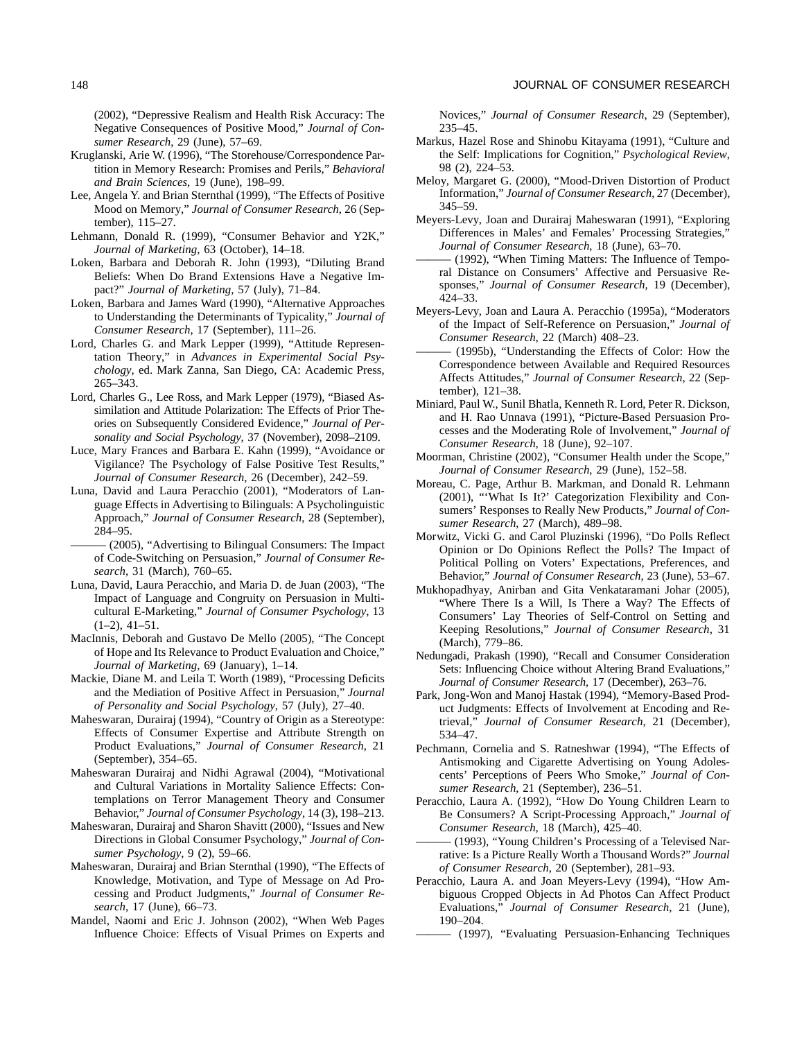(2002), "Depressive Realism and Health Risk Accuracy: The Negative Consequences of Positive Mood," *Journal of Consumer Research*, 29 (June), 57–69.

- Kruglanski, Arie W. (1996), "The Storehouse/Correspondence Partition in Memory Research: Promises and Perils," *Behavioral and Brain Sciences*, 19 (June), 198–99.
- Lee, Angela Y. and Brian Sternthal (1999), "The Effects of Positive Mood on Memory," *Journal of Consumer Research*, 26 (September), 115–27.
- Lehmann, Donald R. (1999), "Consumer Behavior and Y2K," *Journal of Marketing*, 63 (October), 14–18.
- Loken, Barbara and Deborah R. John (1993), "Diluting Brand Beliefs: When Do Brand Extensions Have a Negative Impact?" *Journal of Marketing*, 57 (July), 71–84.
- Loken, Barbara and James Ward (1990), "Alternative Approaches to Understanding the Determinants of Typicality," *Journal of Consumer Research*, 17 (September), 111–26.
- Lord, Charles G. and Mark Lepper (1999), "Attitude Representation Theory," in *Advances in Experimental Social Psychology*, ed. Mark Zanna, San Diego, CA: Academic Press, 265–343.
- Lord, Charles G., Lee Ross, and Mark Lepper (1979), "Biased Assimilation and Attitude Polarization: The Effects of Prior Theories on Subsequently Considered Evidence," *Journal of Personality and Social Psychology*, 37 (November), 2098–2109.
- Luce, Mary Frances and Barbara E. Kahn (1999), "Avoidance or Vigilance? The Psychology of False Positive Test Results," *Journal of Consumer Research*, 26 (December), 242–59.
- Luna, David and Laura Peracchio (2001), "Moderators of Language Effects in Advertising to Bilinguals: A Psycholinguistic Approach," *Journal of Consumer Research*, 28 (September), 284–95.
	- ——— (2005), "Advertising to Bilingual Consumers: The Impact of Code-Switching on Persuasion," *Journal of Consumer Research*, 31 (March), 760–65.
- Luna, David, Laura Peracchio, and Maria D. de Juan (2003), "The Impact of Language and Congruity on Persuasion in Multicultural E-Marketing," *Journal of Consumer Psychology*, 13  $(1-2), 41-51.$
- MacInnis, Deborah and Gustavo De Mello (2005), "The Concept of Hope and Its Relevance to Product Evaluation and Choice," *Journal of Marketing*, 69 (January), 1–14.
- Mackie, Diane M. and Leila T. Worth (1989), "Processing Deficits and the Mediation of Positive Affect in Persuasion," *Journal of Personality and Social Psychology*, 57 (July), 27–40.
- Maheswaran, Durairaj (1994), "Country of Origin as a Stereotype: Effects of Consumer Expertise and Attribute Strength on Product Evaluations," *Journal of Consumer Research*, 21 (September), 354–65.
- Maheswaran Durairaj and Nidhi Agrawal (2004), "Motivational and Cultural Variations in Mortality Salience Effects: Contemplations on Terror Management Theory and Consumer Behavior," *Journal of Consumer Psychology*, 14 (3), 198–213.
- Maheswaran, Durairaj and Sharon Shavitt (2000), "Issues and New Directions in Global Consumer Psychology," *Journal of Consumer Psychology*, 9 (2), 59–66.
- Maheswaran, Durairaj and Brian Sternthal (1990), "The Effects of Knowledge, Motivation, and Type of Message on Ad Processing and Product Judgments," *Journal of Consumer Research*, 17 (June), 66–73.
- Mandel, Naomi and Eric J. Johnson (2002), "When Web Pages Influence Choice: Effects of Visual Primes on Experts and

Novices," *Journal of Consumer Research*, 29 (September), 235–45.

- Markus, Hazel Rose and Shinobu Kitayama (1991), "Culture and the Self: Implications for Cognition," *Psychological Review*, 98 (2), 224–53.
- Meloy, Margaret G. (2000), "Mood-Driven Distortion of Product Information," *Journal of Consumer Research*, 27 (December), 345–59.
- Meyers-Levy, Joan and Durairaj Maheswaran (1991), "Exploring Differences in Males' and Females' Processing Strategies,' *Journal of Consumer Research*, 18 (June), 63–70.
- (1992), "When Timing Matters: The Influence of Temporal Distance on Consumers' Affective and Persuasive Responses," *Journal of Consumer Research*, 19 (December), 424–33.
- Meyers-Levy, Joan and Laura A. Peracchio (1995a), "Moderators of the Impact of Self-Reference on Persuasion," *Journal of Consumer Research*, 22 (March) 408–23.
- (1995b), "Understanding the Effects of Color: How the Correspondence between Available and Required Resources Affects Attitudes," *Journal of Consumer Research*, 22 (September), 121–38.
- Miniard, Paul W., Sunil Bhatla, Kenneth R. Lord, Peter R. Dickson, and H. Rao Unnava (1991), "Picture-Based Persuasion Processes and the Moderating Role of Involvement," *Journal of Consumer Research*, 18 (June), 92–107.
- Moorman, Christine (2002), "Consumer Health under the Scope," *Journal of Consumer Research*, 29 (June), 152–58.
- Moreau, C. Page, Arthur B. Markman, and Donald R. Lehmann (2001), "'What Is It?' Categorization Flexibility and Consumers' Responses to Really New Products," *Journal of Consumer Research*, 27 (March), 489–98.
- Morwitz, Vicki G. and Carol Pluzinski (1996), "Do Polls Reflect Opinion or Do Opinions Reflect the Polls? The Impact of Political Polling on Voters' Expectations, Preferences, and Behavior," *Journal of Consumer Research*, 23 (June), 53–67.
- Mukhopadhyay, Anirban and Gita Venkataramani Johar (2005), "Where There Is a Will, Is There a Way? The Effects of Consumers' Lay Theories of Self-Control on Setting and Keeping Resolutions," *Journal of Consumer Research*, 31 (March), 779–86.
- Nedungadi, Prakash (1990), "Recall and Consumer Consideration Sets: Influencing Choice without Altering Brand Evaluations," *Journal of Consumer Research*, 17 (December), 263–76.
- Park, Jong-Won and Manoj Hastak (1994), "Memory-Based Product Judgments: Effects of Involvement at Encoding and Retrieval," *Journal of Consumer Research*, 21 (December), 534–47.
- Pechmann, Cornelia and S. Ratneshwar (1994), "The Effects of Antismoking and Cigarette Advertising on Young Adolescents' Perceptions of Peers Who Smoke," *Journal of Consumer Research*, 21 (September), 236–51.
- Peracchio, Laura A. (1992), "How Do Young Children Learn to Be Consumers? A Script-Processing Approach," *Journal of Consumer Research*, 18 (March), 425–40.
- (1993), "Young Children's Processing of a Televised Narrative: Is a Picture Really Worth a Thousand Words?" *Journal of Consumer Research*, 20 (September), 281–93.
- Peracchio, Laura A. and Joan Meyers-Levy (1994), "How Ambiguous Cropped Objects in Ad Photos Can Affect Product Evaluations," *Journal of Consumer Research*, 21 (June), 190–204.
- ——— (1997), "Evaluating Persuasion-Enhancing Techniques